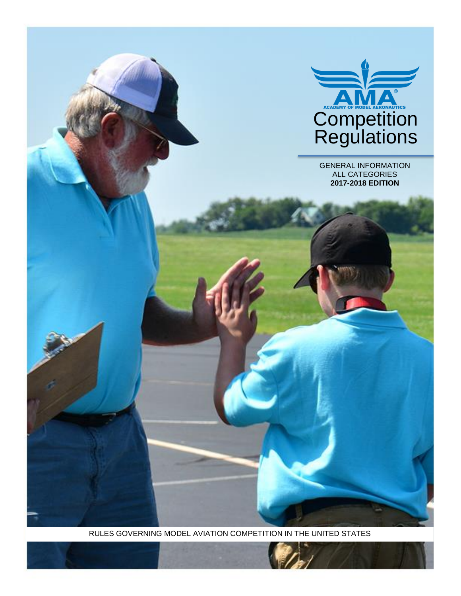

RULES GOVERNING MODEL AVIATION COMPETITION IN THE UNITED STATES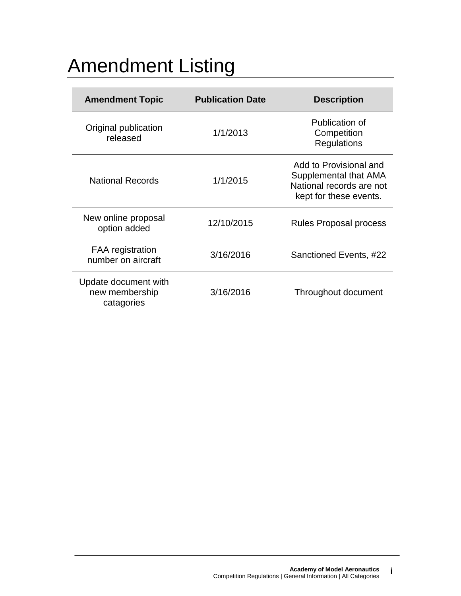# Amendment Listing

| <b>Amendment Topic</b>                               | <b>Publication Date</b> | <b>Description</b>                                                                                    |
|------------------------------------------------------|-------------------------|-------------------------------------------------------------------------------------------------------|
| Original publication<br>released                     | 1/1/2013                | Publication of<br>Competition<br><b>Regulations</b>                                                   |
| <b>National Records</b>                              | 1/1/2015                | Add to Provisional and<br>Supplemental that AMA<br>National records are not<br>kept for these events. |
| New online proposal<br>option added                  | 12/10/2015              | <b>Rules Proposal process</b>                                                                         |
| <b>FAA</b> registration<br>number on aircraft        | 3/16/2016               | Sanctioned Events, #22                                                                                |
| Update document with<br>new membership<br>catagories | 3/16/2016               | Throughout document                                                                                   |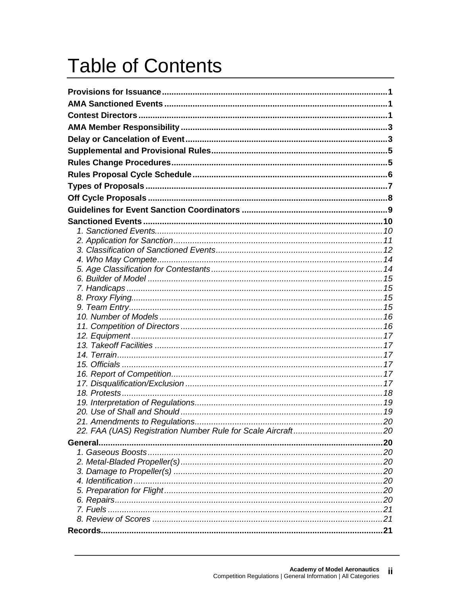# **Table of Contents**

| 21. Amendments to Regulations. |  |
|--------------------------------|--|
|                                |  |
|                                |  |
|                                |  |
|                                |  |
|                                |  |
|                                |  |
|                                |  |
|                                |  |
|                                |  |
|                                |  |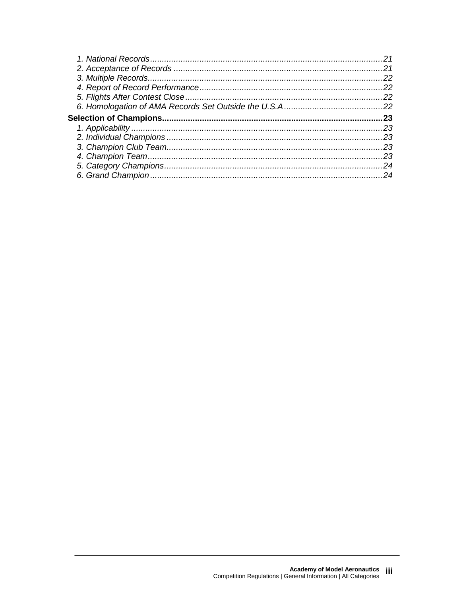| 21  |
|-----|
| 22  |
| 22  |
| 22  |
|     |
| 23  |
| 23  |
| .23 |
| 23  |
| 23  |
| 24  |
| 24  |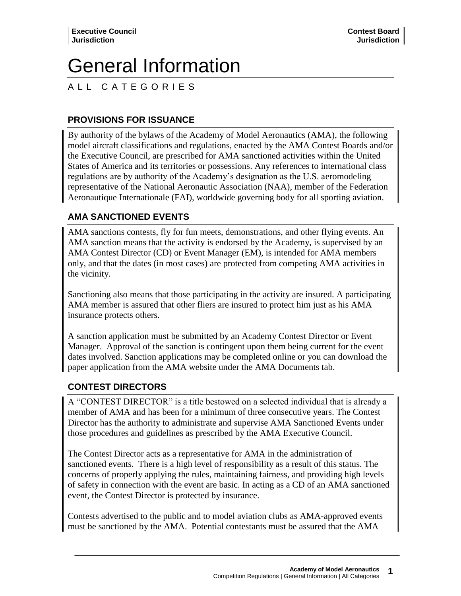# General Information

# A L L C A T E G O R I E S

# **PROVISIONS FOR ISSUANCE**

By authority of the bylaws of the Academy of Model Aeronautics (AMA), the following model aircraft classifications and regulations, enacted by the AMA Contest Boards and/or the Executive Council, are prescribed for AMA sanctioned activities within the United States of America and its territories or possessions. Any references to international class regulations are by authority of the Academy's designation as the U.S. aeromodeling representative of the National Aeronautic Association (NAA), member of the Federation Aeronautique Internationale (FAI), worldwide governing body for all sporting aviation.

# **AMA SANCTIONED EVENTS**

AMA sanctions contests, fly for fun meets, demonstrations, and other flying events. An AMA sanction means that the activity is endorsed by the Academy, is supervised by an AMA Contest Director (CD) or Event Manager (EM), is intended for AMA members only, and that the dates (in most cases) are protected from competing AMA activities in the vicinity.

Sanctioning also means that those participating in the activity are insured. A participating AMA member is assured that other fliers are insured to protect him just as his AMA insurance protects others.

A sanction application must be submitted by an Academy Contest Director or Event Manager. Approval of the sanction is contingent upon them being current for the event dates involved. Sanction applications may be completed online or you can download the paper application from the AMA website under the AMA Documents tab.

# **CONTEST DIRECTORS**

A "CONTEST DIRECTOR" is a title bestowed on a selected individual that is already a member of AMA and has been for a minimum of three consecutive years. The Contest Director has the authority to administrate and supervise AMA Sanctioned Events under those procedures and guidelines as prescribed by the AMA Executive Council.

The Contest Director acts as a representative for AMA in the administration of sanctioned events. There is a high level of responsibility as a result of this status. The concerns of properly applying the rules, maintaining fairness, and providing high levels of safety in connection with the event are basic. In acting as a CD of an AMA sanctioned event, the Contest Director is protected by insurance.

Contests advertised to the public and to model aviation clubs as AMA-approved events must be sanctioned by the AMA. Potential contestants must be assured that the AMA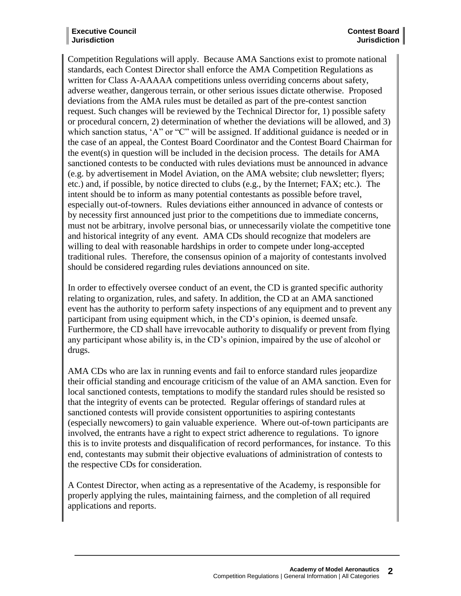#### **Executive Council Jurisdiction**

Competition Regulations will apply. Because AMA Sanctions exist to promote national standards, each Contest Director shall enforce the AMA Competition Regulations as written for Class A-AAAAA competitions unless overriding concerns about safety, adverse weather, dangerous terrain, or other serious issues dictate otherwise. Proposed deviations from the AMA rules must be detailed as part of the pre-contest sanction request. Such changes will be reviewed by the Technical Director for, 1) possible safety or procedural concern, 2) determination of whether the deviations will be allowed, and 3) which sanction status, 'A" or "C" will be assigned. If additional guidance is needed or in the case of an appeal, the Contest Board Coordinator and the Contest Board Chairman for the event(s) in question will be included in the decision process. The details for AMA sanctioned contests to be conducted with rules deviations must be announced in advance (e.g. by advertisement in Model Aviation, on the AMA website; club newsletter; flyers; etc.) and, if possible, by notice directed to clubs (e.g., by the Internet; FAX; etc.). The intent should be to inform as many potential contestants as possible before travel, especially out-of-towners. Rules deviations either announced in advance of contests or by necessity first announced just prior to the competitions due to immediate concerns, must not be arbitrary, involve personal bias, or unnecessarily violate the competitive tone and historical integrity of any event. AMA CDs should recognize that modelers are willing to deal with reasonable hardships in order to compete under long-accepted traditional rules. Therefore, the consensus opinion of a majority of contestants involved should be considered regarding rules deviations announced on site.

In order to effectively oversee conduct of an event, the CD is granted specific authority relating to organization, rules, and safety. In addition, the CD at an AMA sanctioned event has the authority to perform safety inspections of any equipment and to prevent any participant from using equipment which, in the CD's opinion, is deemed unsafe. Furthermore, the CD shall have irrevocable authority to disqualify or prevent from flying any participant whose ability is, in the CD's opinion, impaired by the use of alcohol or drugs.

AMA CDs who are lax in running events and fail to enforce standard rules jeopardize their official standing and encourage criticism of the value of an AMA sanction. Even for local sanctioned contests, temptations to modify the standard rules should be resisted so that the integrity of events can be protected. Regular offerings of standard rules at sanctioned contests will provide consistent opportunities to aspiring contestants (especially newcomers) to gain valuable experience. Where out-of-town participants are involved, the entrants have a right to expect strict adherence to regulations. To ignore this is to invite protests and disqualification of record performances, for instance. To this end, contestants may submit their objective evaluations of administration of contests to the respective CDs for consideration.

A Contest Director, when acting as a representative of the Academy, is responsible for properly applying the rules, maintaining fairness, and the completion of all required applications and reports.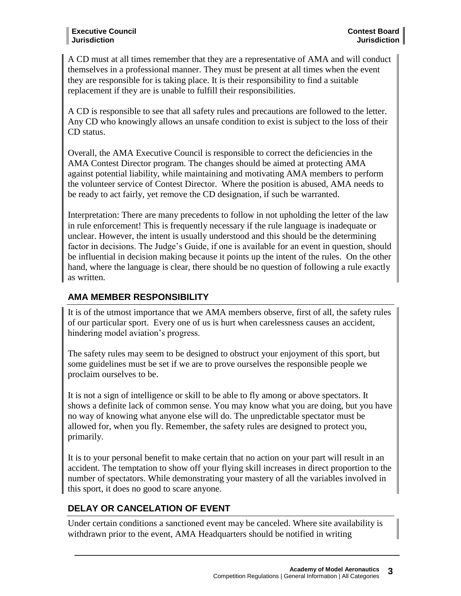A CD must at all times remember that they are a representative of AMA and will conduct themselves in a professional manner. They must be present at all times when the event they are responsible for is taking place. It is their responsibility to find a suitable replacement if they are is unable to fulfill their responsibilities.

A CD is responsible to see that all safety rules and precautions are followed to the letter. Any CD who knowingly allows an unsafe condition to exist is subject to the loss of their CD status.

Overall, the AMA Executive Council is responsible to correct the deficiencies in the AMA Contest Director program. The changes should be aimed at protecting AMA against potential liability, while maintaining and motivating AMA members to perform the volunteer service of Contest Director. Where the position is abused, AMA needs to be ready to act fairly, yet remove the CD designation, if such be warranted.

Interpretation: There are many precedents to follow in not upholding the letter of the law in rule enforcement! This is frequently necessary if the rule language is inadequate or unclear. However, the intent is usually understood and this should be the determining factor in decisions. The Judge's Guide, if one is available for an event in question, should be influential in decision making because it points up the intent of the rules. On the other hand, where the language is clear, there should be no question of following a rule exactly as written.

# **AMA MEMBER RESPONSIBILITY**

It is of the utmost importance that we AMA members observe, first of all, the safety rules of our particular sport. Every one of us is hurt when carelessness causes an accident, hindering model aviation's progress.

The safety rules may seem to be designed to obstruct your enjoyment of this sport, but some guidelines must be set if we are to prove ourselves the responsible people we proclaim ourselves to be.

It is not a sign of intelligence or skill to be able to fly among or above spectators. It shows a definite lack of common sense. You may know what you are doing, but you have no way of knowing what anyone else will do. The unpredictable spectator must be allowed for, when you fly. Remember, the safety rules are designed to protect you, primarily.

It is to your personal benefit to make certain that no action on your part will result in an accident. The temptation to show off your flying skill increases in direct proportion to the number of spectators. While demonstrating your mastery of all the variables involved in this sport, it does no good to scare anyone.

# **DELAY OR CANCELATION OF EVENT**

Under certain conditions a sanctioned event may be canceled. Where site availability is withdrawn prior to the event, AMA Headquarters should be notified in writing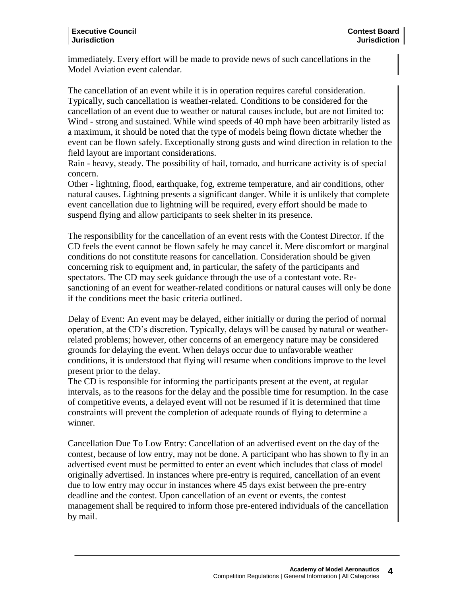immediately. Every effort will be made to provide news of such cancellations in the Model Aviation event calendar.

The cancellation of an event while it is in operation requires careful consideration. Typically, such cancellation is weather-related. Conditions to be considered for the cancellation of an event due to weather or natural causes include, but are not limited to: Wind - strong and sustained. While wind speeds of 40 mph have been arbitrarily listed as a maximum, it should be noted that the type of models being flown dictate whether the event can be flown safely. Exceptionally strong gusts and wind direction in relation to the field layout are important considerations.

Rain - heavy, steady. The possibility of hail, tornado, and hurricane activity is of special concern.

Other - lightning, flood, earthquake, fog, extreme temperature, and air conditions, other natural causes. Lightning presents a significant danger. While it is unlikely that complete event cancellation due to lightning will be required, every effort should be made to suspend flying and allow participants to seek shelter in its presence.

The responsibility for the cancellation of an event rests with the Contest Director. If the CD feels the event cannot be flown safely he may cancel it. Mere discomfort or marginal conditions do not constitute reasons for cancellation. Consideration should be given concerning risk to equipment and, in particular, the safety of the participants and spectators. The CD may seek guidance through the use of a contestant vote. Resanctioning of an event for weather-related conditions or natural causes will only be done if the conditions meet the basic criteria outlined.

Delay of Event: An event may be delayed, either initially or during the period of normal operation, at the CD's discretion. Typically, delays will be caused by natural or weatherrelated problems; however, other concerns of an emergency nature may be considered grounds for delaying the event. When delays occur due to unfavorable weather conditions, it is understood that flying will resume when conditions improve to the level present prior to the delay.

The CD is responsible for informing the participants present at the event, at regular intervals, as to the reasons for the delay and the possible time for resumption. In the case of competitive events, a delayed event will not be resumed if it is determined that time constraints will prevent the completion of adequate rounds of flying to determine a winner.

Cancellation Due To Low Entry: Cancellation of an advertised event on the day of the contest, because of low entry, may not be done. A participant who has shown to fly in an advertised event must be permitted to enter an event which includes that class of model originally advertised. In instances where pre-entry is required, cancellation of an event due to low entry may occur in instances where 45 days exist between the pre-entry deadline and the contest. Upon cancellation of an event or events, the contest management shall be required to inform those pre-entered individuals of the cancellation by mail.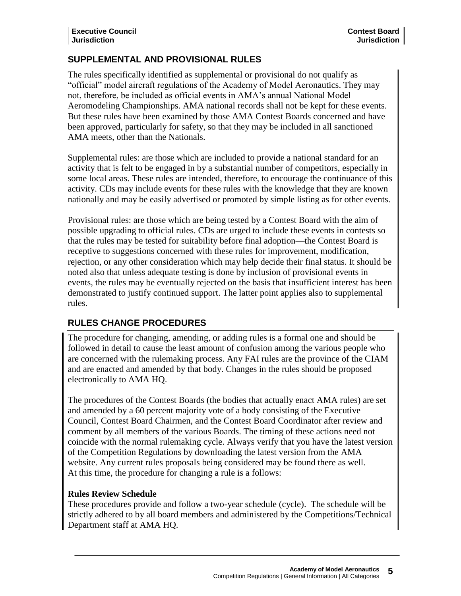# **SUPPLEMENTAL AND PROVISIONAL RULES**

The rules specifically identified as supplemental or provisional do not qualify as "official" model aircraft regulations of the Academy of Model Aeronautics. They may not, therefore, be included as official events in AMA's annual National Model Aeromodeling Championships. AMA national records shall not be kept for these events. But these rules have been examined by those AMA Contest Boards concerned and have been approved, particularly for safety, so that they may be included in all sanctioned AMA meets, other than the Nationals.

Supplemental rules: are those which are included to provide a national standard for an activity that is felt to be engaged in by a substantial number of competitors, especially in some local areas. These rules are intended, therefore, to encourage the continuance of this activity. CDs may include events for these rules with the knowledge that they are known nationally and may be easily advertised or promoted by simple listing as for other events.

Provisional rules: are those which are being tested by a Contest Board with the aim of possible upgrading to official rules. CDs are urged to include these events in contests so that the rules may be tested for suitability before final adoption—the Contest Board is receptive to suggestions concerned with these rules for improvement, modification, rejection, or any other consideration which may help decide their final status. It should be noted also that unless adequate testing is done by inclusion of provisional events in events, the rules may be eventually rejected on the basis that insufficient interest has been demonstrated to justify continued support. The latter point applies also to supplemental rules.

# **RULES CHANGE PROCEDURES**

The procedure for changing, amending, or adding rules is a formal one and should be followed in detail to cause the least amount of confusion among the various people who are concerned with the rulemaking process. Any FAI rules are the province of the CIAM and are enacted and amended by that body. Changes in the rules should be proposed electronically to AMA HQ.

The procedures of the Contest Boards (the bodies that actually enact AMA rules) are set and amended by a 60 percent majority vote of a body consisting of the Executive Council, Contest Board Chairmen, and the Contest Board Coordinator after review and comment by all members of the various Boards. The timing of these actions need not coincide with the normal rulemaking cycle. Always verify that you have the latest version of the Competition Regulations by downloading the latest version from the AMA website. Any current rules proposals being considered may be found there as well. At this time, the procedure for changing a rule is a follows:

# **Rules Review Schedule**

These procedures provide and follow a two-year schedule (cycle). The schedule will be strictly adhered to by all board members and administered by the Competitions/Technical Department staff at AMA HQ.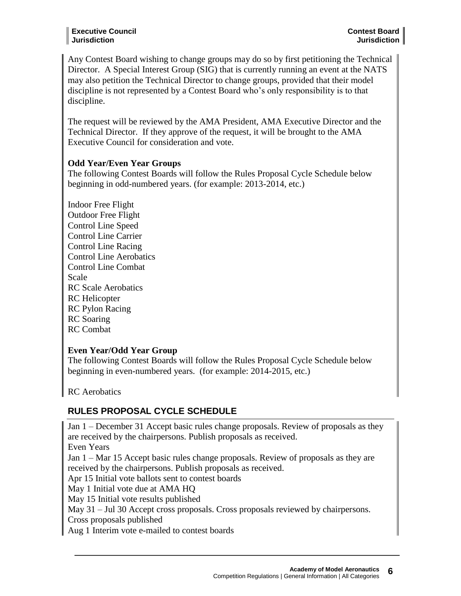#### **Executive Council Jurisdiction**

Any Contest Board wishing to change groups may do so by first petitioning the Technical Director. A Special Interest Group (SIG) that is currently running an event at the NATS may also petition the Technical Director to change groups, provided that their model discipline is not represented by a Contest Board who's only responsibility is to that discipline.

The request will be reviewed by the AMA President, AMA Executive Director and the Technical Director. If they approve of the request, it will be brought to the AMA Executive Council for consideration and vote.

#### **Odd Year/Even Year Groups**

The following Contest Boards will follow the Rules Proposal Cycle Schedule below beginning in odd-numbered years. (for example: 2013-2014, etc.)

Indoor Free Flight Outdoor Free Flight Control Line Speed Control Line Carrier Control Line Racing Control Line Aerobatics Control Line Combat Scale RC Scale Aerobatics RC Helicopter RC Pylon Racing RC Soaring RC Combat

#### **Even Year/Odd Year Group**

The following Contest Boards will follow the Rules Proposal Cycle Schedule below beginning in even-numbered years. (for example: 2014-2015, etc.)

RC Aerobatics

# **RULES PROPOSAL CYCLE SCHEDULE**

Jan 1 – December 31 Accept basic rules change proposals. Review of proposals as they are received by the chairpersons. Publish proposals as received. Even Years Jan 1 – Mar 15 Accept basic rules change proposals. Review of proposals as they are received by the chairpersons. Publish proposals as received. Apr 15 Initial vote ballots sent to contest boards May 1 Initial vote due at AMA HQ May 15 Initial vote results published May 31 – Jul 30 Accept cross proposals. Cross proposals reviewed by chairpersons. Cross proposals published

Aug 1 Interim vote e-mailed to contest boards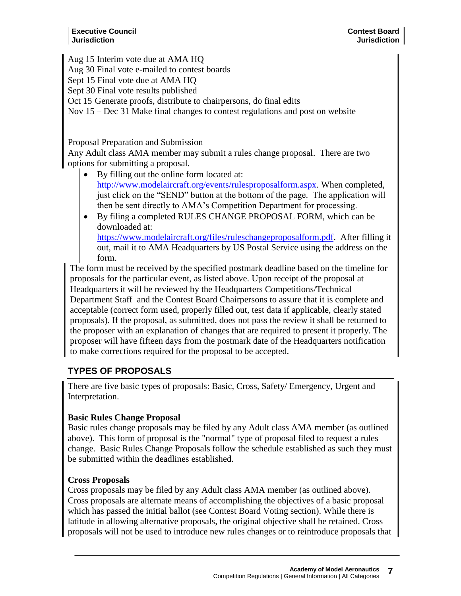Aug 15 Interim vote due at AMA HQ

Aug 30 Final vote e-mailed to contest boards

Sept 15 Final vote due at AMA HQ

Sept 30 Final vote results published

Oct 15 Generate proofs, distribute to chairpersons, do final edits

Nov 15 – Dec 31 Make final changes to contest regulations and post on website

Proposal Preparation and Submission

Any Adult class AMA member may submit a rules change proposal. There are two options for submitting a proposal.

- By filling out the online form located at: [http://www.modelaircraft.org/events/rulesproposalform.aspx.](http://www.modelaircraft.org/events/rulesproposalform.aspx) When completed, just click on the "SEND" button at the bottom of the page. The application will then be sent directly to AMA's Competition Department for processing.
- By filing a completed RULES CHANGE PROPOSAL FORM, which can be downloaded at: [https://www.modelaircraft.org/files/ruleschangeproposalform.pdf.](https://www.modelaircraft.org/files/ruleschangeproposalform.pdf) After filling it out, mail it to AMA Headquarters by US Postal Service using the address on the form.

The form must be received by the specified postmark deadline based on the timeline for proposals for the particular event, as listed above. Upon receipt of the proposal at Headquarters it will be reviewed by the Headquarters Competitions/Technical Department Staff and the Contest Board Chairpersons to assure that it is complete and acceptable (correct form used, properly filled out, test data if applicable, clearly stated proposals). If the proposal, as submitted, does not pass the review it shall be returned to the proposer with an explanation of changes that are required to present it properly. The proposer will have fifteen days from the postmark date of the Headquarters notification to make corrections required for the proposal to be accepted.

# **TYPES OF PROPOSALS**

There are five basic types of proposals: Basic, Cross, Safety/ Emergency, Urgent and Interpretation.

# **Basic Rules Change Proposal**

Basic rules change proposals may be filed by any Adult class AMA member (as outlined above). This form of proposal is the "normal" type of proposal filed to request a rules change. Basic Rules Change Proposals follow the schedule established as such they must be submitted within the deadlines established.

# **Cross Proposals**

Cross proposals may be filed by any Adult class AMA member (as outlined above). Cross proposals are alternate means of accomplishing the objectives of a basic proposal which has passed the initial ballot (see Contest Board Voting section). While there is latitude in allowing alternative proposals, the original objective shall be retained. Cross proposals will not be used to introduce new rules changes or to reintroduce proposals that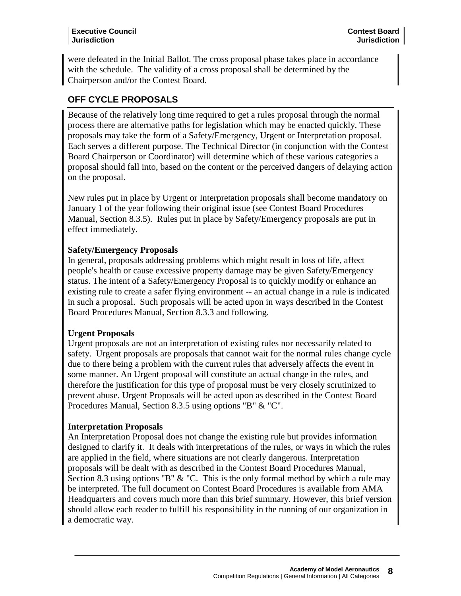#### **Executive Council Jurisdiction**

were defeated in the Initial Ballot. The cross proposal phase takes place in accordance with the schedule. The validity of a cross proposal shall be determined by the Chairperson and/or the Contest Board.

# **OFF CYCLE PROPOSALS**

Because of the relatively long time required to get a rules proposal through the normal process there are alternative paths for legislation which may be enacted quickly. These proposals may take the form of a Safety/Emergency, Urgent or Interpretation proposal. Each serves a different purpose. The Technical Director (in conjunction with the Contest Board Chairperson or Coordinator) will determine which of these various categories a proposal should fall into, based on the content or the perceived dangers of delaying action on the proposal.

New rules put in place by Urgent or Interpretation proposals shall become mandatory on January 1 of the year following their original issue (see Contest Board Procedures Manual, Section 8.3.5). Rules put in place by Safety/Emergency proposals are put in effect immediately.

# **Safety/Emergency Proposals**

In general, proposals addressing problems which might result in loss of life, affect people's health or cause excessive property damage may be given Safety/Emergency status. The intent of a Safety/Emergency Proposal is to quickly modify or enhance an existing rule to create a safer flying environment -- an actual change in a rule is indicated in such a proposal. Such proposals will be acted upon in ways described in the Contest Board Procedures Manual, Section 8.3.3 and following.

# **Urgent Proposals**

Urgent proposals are not an interpretation of existing rules nor necessarily related to safety. Urgent proposals are proposals that cannot wait for the normal rules change cycle due to there being a problem with the current rules that adversely affects the event in some manner. An Urgent proposal will constitute an actual change in the rules, and therefore the justification for this type of proposal must be very closely scrutinized to prevent abuse. Urgent Proposals will be acted upon as described in the Contest Board Procedures Manual, Section 8.3.5 using options "B" & "C".

# **Interpretation Proposals**

An Interpretation Proposal does not change the existing rule but provides information designed to clarify it. It deals with interpretations of the rules, or ways in which the rules are applied in the field, where situations are not clearly dangerous. Interpretation proposals will be dealt with as described in the Contest Board Procedures Manual, Section 8.3 using options "B"  $\&$  "C. This is the only formal method by which a rule may be interpreted. The full document on Contest Board Procedures is available from AMA Headquarters and covers much more than this brief summary. However, this brief version should allow each reader to fulfill his responsibility in the running of our organization in a democratic way.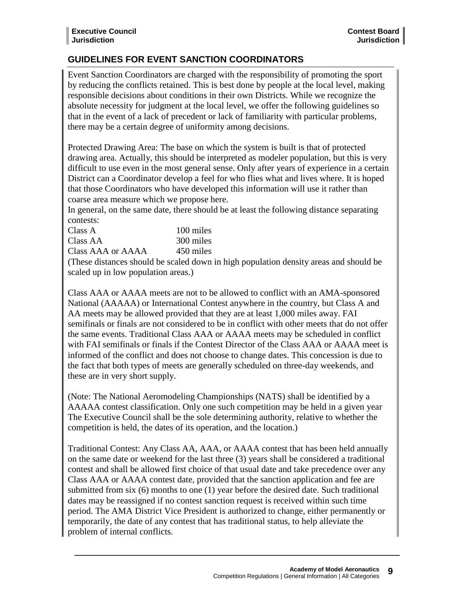# **GUIDELINES FOR EVENT SANCTION COORDINATORS**

Event Sanction Coordinators are charged with the responsibility of promoting the sport by reducing the conflicts retained. This is best done by people at the local level, making responsible decisions about conditions in their own Districts. While we recognize the absolute necessity for judgment at the local level, we offer the following guidelines so that in the event of a lack of precedent or lack of familiarity with particular problems, there may be a certain degree of uniformity among decisions.

Protected Drawing Area: The base on which the system is built is that of protected drawing area. Actually, this should be interpreted as modeler population, but this is very difficult to use even in the most general sense. Only after years of experience in a certain District can a Coordinator develop a feel for who flies what and lives where. It is hoped that those Coordinators who have developed this information will use it rather than coarse area measure which we propose here.

In general, on the same date, there should be at least the following distance separating contests:

| Class A           | 100 miles |
|-------------------|-----------|
| Class AA          | 300 miles |
| Class AAA or AAAA | 450 miles |

(These distances should be scaled down in high population density areas and should be scaled up in low population areas.)

Class AAA or AAAA meets are not to be allowed to conflict with an AMA-sponsored National (AAAAA) or International Contest anywhere in the country, but Class A and AA meets may be allowed provided that they are at least 1,000 miles away. FAI semifinals or finals are not considered to be in conflict with other meets that do not offer the same events. Traditional Class AAA or AAAA meets may be scheduled in conflict with FAI semifinals or finals if the Contest Director of the Class AAA or AAAA meet is informed of the conflict and does not choose to change dates. This concession is due to the fact that both types of meets are generally scheduled on three-day weekends, and these are in very short supply.

(Note: The National Aeromodeling Championships (NATS) shall be identified by a AAAAA contest classification. Only one such competition may be held in a given year The Executive Council shall be the sole determining authority, relative to whether the competition is held, the dates of its operation, and the location.)

Traditional Contest: Any Class AA, AAA, or AAAA contest that has been held annually on the same date or weekend for the last three (3) years shall be considered a traditional contest and shall be allowed first choice of that usual date and take precedence over any Class AAA or AAAA contest date, provided that the sanction application and fee are submitted from six (6) months to one (1) year before the desired date. Such traditional dates may be reassigned if no contest sanction request is received within such time period. The AMA District Vice President is authorized to change, either permanently or temporarily, the date of any contest that has traditional status, to help alleviate the problem of internal conflicts.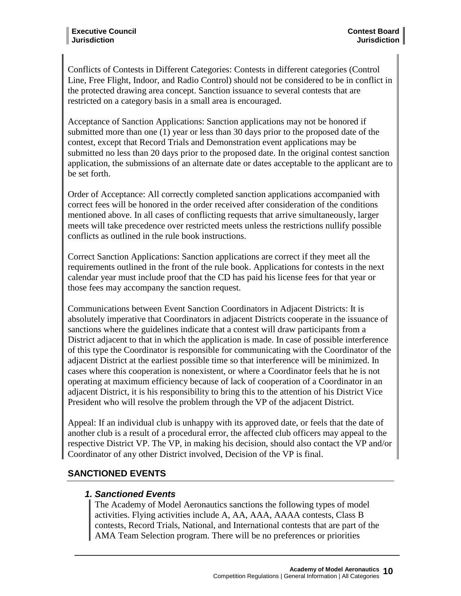Conflicts of Contests in Different Categories: Contests in different categories (Control Line, Free Flight, Indoor, and Radio Control) should not be considered to be in conflict in the protected drawing area concept. Sanction issuance to several contests that are restricted on a category basis in a small area is encouraged.

Acceptance of Sanction Applications: Sanction applications may not be honored if submitted more than one (1) year or less than 30 days prior to the proposed date of the contest, except that Record Trials and Demonstration event applications may be submitted no less than 20 days prior to the proposed date. In the original contest sanction application, the submissions of an alternate date or dates acceptable to the applicant are to be set forth.

Order of Acceptance: All correctly completed sanction applications accompanied with correct fees will be honored in the order received after consideration of the conditions mentioned above. In all cases of conflicting requests that arrive simultaneously, larger meets will take precedence over restricted meets unless the restrictions nullify possible conflicts as outlined in the rule book instructions.

Correct Sanction Applications: Sanction applications are correct if they meet all the requirements outlined in the front of the rule book. Applications for contests in the next calendar year must include proof that the CD has paid his license fees for that year or those fees may accompany the sanction request.

Communications between Event Sanction Coordinators in Adjacent Districts: It is absolutely imperative that Coordinators in adjacent Districts cooperate in the issuance of sanctions where the guidelines indicate that a contest will draw participants from a District adjacent to that in which the application is made. In case of possible interference of this type the Coordinator is responsible for communicating with the Coordinator of the adjacent District at the earliest possible time so that interference will be minimized. In cases where this cooperation is nonexistent, or where a Coordinator feels that he is not operating at maximum efficiency because of lack of cooperation of a Coordinator in an adjacent District, it is his responsibility to bring this to the attention of his District Vice President who will resolve the problem through the VP of the adjacent District.

Appeal: If an individual club is unhappy with its approved date, or feels that the date of another club is a result of a procedural error, the affected club officers may appeal to the respective District VP. The VP, in making his decision, should also contact the VP and/or Coordinator of any other District involved, Decision of the VP is final.

# **SANCTIONED EVENTS**

# *1. Sanctioned Events*

The Academy of Model Aeronautics sanctions the following types of model activities. Flying activities include A, AA, AAA, AAAA contests, Class B contests, Record Trials, National, and International contests that are part of the AMA Team Selection program. There will be no preferences or priorities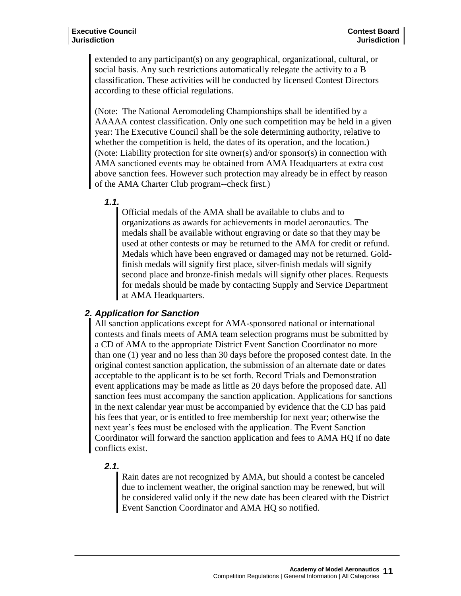extended to any participant(s) on any geographical, organizational, cultural, or social basis. Any such restrictions automatically relegate the activity to a B classification. These activities will be conducted by licensed Contest Directors according to these official regulations.

(Note: The National Aeromodeling Championships shall be identified by a AAAAA contest classification. Only one such competition may be held in a given year: The Executive Council shall be the sole determining authority, relative to whether the competition is held, the dates of its operation, and the location.) (Note: Liability protection for site owner(s) and/or sponsor(s) in connection with AMA sanctioned events may be obtained from AMA Headquarters at extra cost above sanction fees. However such protection may already be in effect by reason of the AMA Charter Club program--check first.)

*1.1.*

Official medals of the AMA shall be available to clubs and to organizations as awards for achievements in model aeronautics. The medals shall be available without engraving or date so that they may be used at other contests or may be returned to the AMA for credit or refund. Medals which have been engraved or damaged may not be returned. Goldfinish medals will signify first place, silver-finish medals will signify second place and bronze-finish medals will signify other places. Requests for medals should be made by contacting Supply and Service Department at AMA Headquarters.

#### *2. Application for Sanction*

All sanction applications except for AMA-sponsored national or international contests and finals meets of AMA team selection programs must be submitted by a CD of AMA to the appropriate District Event Sanction Coordinator no more than one (1) year and no less than 30 days before the proposed contest date. In the original contest sanction application, the submission of an alternate date or dates acceptable to the applicant is to be set forth. Record Trials and Demonstration event applications may be made as little as 20 days before the proposed date. All sanction fees must accompany the sanction application. Applications for sanctions in the next calendar year must be accompanied by evidence that the CD has paid his fees that year, or is entitled to free membership for next year; otherwise the next year's fees must be enclosed with the application. The Event Sanction Coordinator will forward the sanction application and fees to AMA HQ if no date conflicts exist.

# *2.1.*

Rain dates are not recognized by AMA, but should a contest be canceled due to inclement weather, the original sanction may be renewed, but will be considered valid only if the new date has been cleared with the District Event Sanction Coordinator and AMA HQ so notified.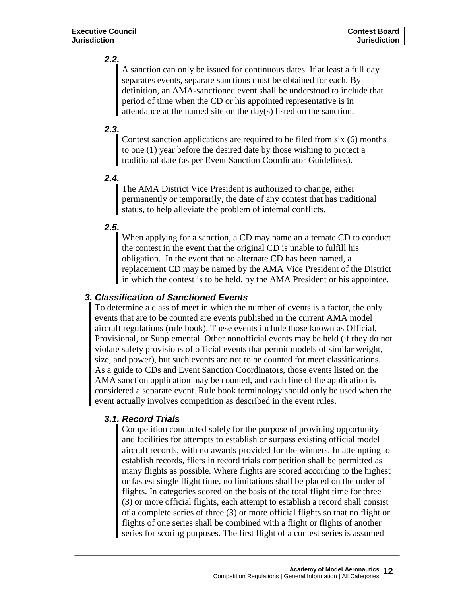# *2.2.*

A sanction can only be issued for continuous dates. If at least a full day separates events, separate sanctions must be obtained for each. By definition, an AMA-sanctioned event shall be understood to include that period of time when the CD or his appointed representative is in attendance at the named site on the day(s) listed on the sanction.

# *2.3.*

Contest sanction applications are required to be filed from six (6) months to one (1) year before the desired date by those wishing to protect a traditional date (as per Event Sanction Coordinator Guidelines).

# *2.4.*

The AMA District Vice President is authorized to change, either permanently or temporarily, the date of any contest that has traditional status, to help alleviate the problem of internal conflicts.

# *2.5.*

When applying for a sanction, a CD may name an alternate CD to conduct the contest in the event that the original CD is unable to fulfill his obligation. In the event that no alternate CD has been named, a replacement CD may be named by the AMA Vice President of the District in which the contest is to be held, by the AMA President or his appointee.

# *3. Classification of Sanctioned Events*

To determine a class of meet in which the number of events is a factor, the only events that are to be counted are events published in the current AMA model aircraft regulations (rule book). These events include those known as Official, Provisional, or Supplemental. Other nonofficial events may be held (if they do not violate safety provisions of official events that permit models of similar weight, size, and power), but such events are not to be counted for meet classifications. As a guide to CDs and Event Sanction Coordinators, those events listed on the AMA sanction application may be counted, and each line of the application is considered a separate event. Rule book terminology should only be used when the event actually involves competition as described in the event rules.

# *3.1. Record Trials*

Competition conducted solely for the purpose of providing opportunity and facilities for attempts to establish or surpass existing official model aircraft records, with no awards provided for the winners. In attempting to establish records, fliers in record trials competition shall be permitted as many flights as possible. Where flights are scored according to the highest or fastest single flight time, no limitations shall be placed on the order of flights. In categories scored on the basis of the total flight time for three (3) or more official flights, each attempt to establish a record shall consist of a complete series of three (3) or more official flights so that no flight or flights of one series shall be combined with a flight or flights of another series for scoring purposes. The first flight of a contest series is assumed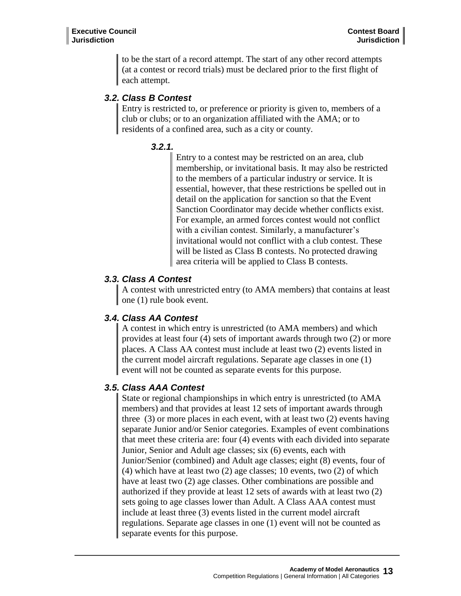to be the start of a record attempt. The start of any other record attempts (at a contest or record trials) must be declared prior to the first flight of each attempt.

# *3.2. Class B Contest*

Entry is restricted to, or preference or priority is given to, members of a club or clubs; or to an organization affiliated with the AMA; or to residents of a confined area, such as a city or county.

# *3.2.1.*

Entry to a contest may be restricted on an area, club membership, or invitational basis. It may also be restricted to the members of a particular industry or service. It is essential, however, that these restrictions be spelled out in detail on the application for sanction so that the Event Sanction Coordinator may decide whether conflicts exist. For example, an armed forces contest would not conflict with a civilian contest. Similarly, a manufacturer's invitational would not conflict with a club contest. These will be listed as Class B contests. No protected drawing area criteria will be applied to Class B contests.

# *3.3. Class A Contest*

A contest with unrestricted entry (to AMA members) that contains at least one (1) rule book event.

# *3.4. Class AA Contest*

A contest in which entry is unrestricted (to AMA members) and which provides at least four (4) sets of important awards through two (2) or more places. A Class AA contest must include at least two (2) events listed in the current model aircraft regulations. Separate age classes in one (1) event will not be counted as separate events for this purpose.

# *3.5. Class AAA Contest*

State or regional championships in which entry is unrestricted (to AMA members) and that provides at least 12 sets of important awards through three (3) or more places in each event, with at least two (2) events having separate Junior and/or Senior categories. Examples of event combinations that meet these criteria are: four (4) events with each divided into separate Junior, Senior and Adult age classes; six (6) events, each with Junior/Senior (combined) and Adult age classes; eight (8) events, four of (4) which have at least two (2) age classes; 10 events, two (2) of which have at least two (2) age classes. Other combinations are possible and authorized if they provide at least 12 sets of awards with at least two (2) sets going to age classes lower than Adult. A Class AAA contest must include at least three (3) events listed in the current model aircraft regulations. Separate age classes in one (1) event will not be counted as separate events for this purpose.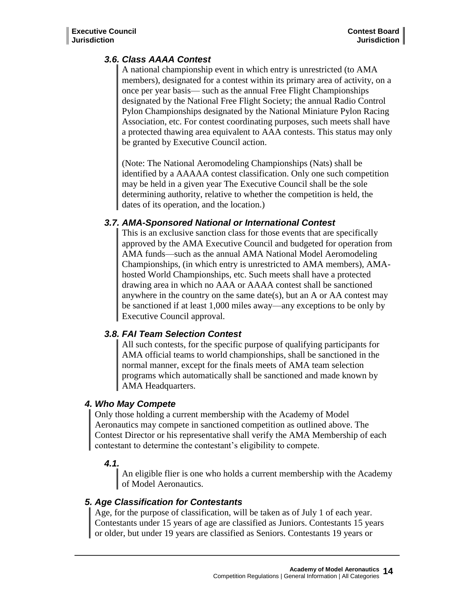# *3.6. Class AAAA Contest*

A national championship event in which entry is unrestricted (to AMA members), designated for a contest within its primary area of activity, on a once per year basis— such as the annual Free Flight Championships designated by the National Free Flight Society; the annual Radio Control Pylon Championships designated by the National Miniature Pylon Racing Association, etc. For contest coordinating purposes, such meets shall have a protected thawing area equivalent to AAA contests. This status may only be granted by Executive Council action.

(Note: The National Aeromodeling Championships (Nats) shall be identified by a AAAAA contest classification. Only one such competition may be held in a given year The Executive Council shall be the sole determining authority, relative to whether the competition is held, the dates of its operation, and the location.)

#### *3.7. AMA-Sponsored National or International Contest*

This is an exclusive sanction class for those events that are specifically approved by the AMA Executive Council and budgeted for operation from AMA funds—such as the annual AMA National Model Aeromodeling Championships, (in which entry is unrestricted to AMA members), AMAhosted World Championships, etc. Such meets shall have a protected drawing area in which no AAA or AAAA contest shall be sanctioned anywhere in the country on the same date(s), but an A or AA contest may be sanctioned if at least 1,000 miles away—any exceptions to be only by Executive Council approval.

# *3.8. FAI Team Selection Contest*

All such contests, for the specific purpose of qualifying participants for AMA official teams to world championships, shall be sanctioned in the normal manner, except for the finals meets of AMA team selection programs which automatically shall be sanctioned and made known by AMA Headquarters.

# *4. Who May Compete*

Only those holding a current membership with the Academy of Model Aeronautics may compete in sanctioned competition as outlined above. The Contest Director or his representative shall verify the AMA Membership of each contestant to determine the contestant's eligibility to compete.

# *4.1.*

An eligible flier is one who holds a current membership with the Academy of Model Aeronautics.

# *5. Age Classification for Contestants*

Age, for the purpose of classification, will be taken as of July 1 of each year. Contestants under 15 years of age are classified as Juniors. Contestants 15 years or older, but under 19 years are classified as Seniors. Contestants 19 years or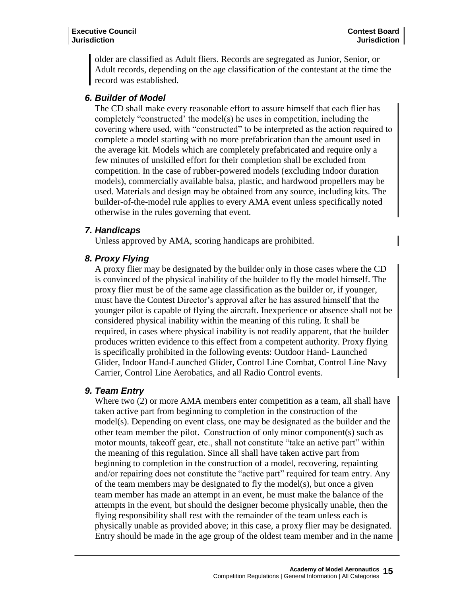older are classified as Adult fliers. Records are segregated as Junior, Senior, or Adult records, depending on the age classification of the contestant at the time the record was established.

#### *6. Builder of Model*

The CD shall make every reasonable effort to assure himself that each flier has completely "constructed' the model(s) he uses in competition, including the covering where used, with "constructed" to be interpreted as the action required to complete a model starting with no more prefabrication than the amount used in the average kit. Models which are completely prefabricated and require only a few minutes of unskilled effort for their completion shall be excluded from competition. In the case of rubber-powered models (excluding Indoor duration models), commercially available balsa, plastic, and hardwood propellers may be used. Materials and design may be obtained from any source, including kits. The builder-of-the-model rule applies to every AMA event unless specifically noted otherwise in the rules governing that event.

#### *7. Handicaps*

Unless approved by AMA, scoring handicaps are prohibited.

# *8. Proxy Flying*

A proxy flier may be designated by the builder only in those cases where the CD is convinced of the physical inability of the builder to fly the model himself. The proxy flier must be of the same age classification as the builder or, if younger, must have the Contest Director's approval after he has assured himself that the younger pilot is capable of flying the aircraft. Inexperience or absence shall not be considered physical inability within the meaning of this ruling. It shall be required, in cases where physical inability is not readily apparent, that the builder produces written evidence to this effect from a competent authority. Proxy flying is specifically prohibited in the following events: Outdoor Hand- Launched Glider, Indoor Hand-Launched Glider, Control Line Combat, Control Line Navy Carrier, Control Line Aerobatics, and all Radio Control events.

# *9. Team Entry*

Where two (2) or more AMA members enter competition as a team, all shall have taken active part from beginning to completion in the construction of the model(s). Depending on event class, one may be designated as the builder and the other team member the pilot. Construction of only minor component(s) such as motor mounts, takeoff gear, etc., shall not constitute "take an active part" within the meaning of this regulation. Since all shall have taken active part from beginning to completion in the construction of a model, recovering, repainting and/or repairing does not constitute the "active part" required for team entry. Any of the team members may be designated to fly the model(s), but once a given team member has made an attempt in an event, he must make the balance of the attempts in the event, but should the designer become physically unable, then the flying responsibility shall rest with the remainder of the team unless each is physically unable as provided above; in this case, a proxy flier may be designated. Entry should be made in the age group of the oldest team member and in the name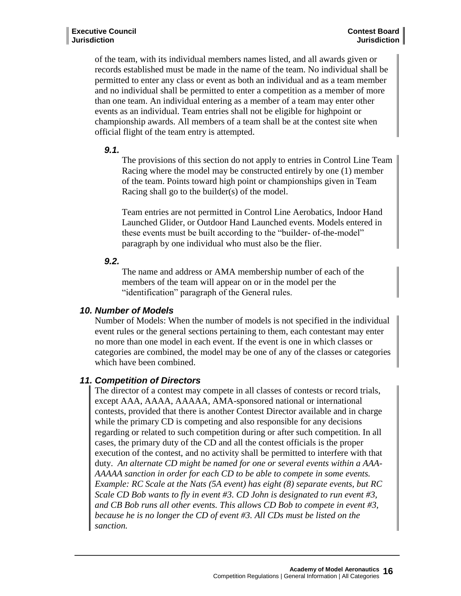of the team, with its individual members names listed, and all awards given or records established must be made in the name of the team. No individual shall be permitted to enter any class or event as both an individual and as a team member and no individual shall be permitted to enter a competition as a member of more than one team. An individual entering as a member of a team may enter other events as an individual. Team entries shall not be eligible for highpoint or championship awards. All members of a team shall be at the contest site when official flight of the team entry is attempted.

#### *9.1.*

The provisions of this section do not apply to entries in Control Line Team Racing where the model may be constructed entirely by one (1) member of the team. Points toward high point or championships given in Team Racing shall go to the builder(s) of the model.

Team entries are not permitted in Control Line Aerobatics, Indoor Hand Launched Glider, or Outdoor Hand Launched events. Models entered in these events must be built according to the "builder- of-the-model" paragraph by one individual who must also be the flier.

#### *9.2.*

The name and address or AMA membership number of each of the members of the team will appear on or in the model per the "identification" paragraph of the General rules.

# *10. Number of Models*

Number of Models: When the number of models is not specified in the individual event rules or the general sections pertaining to them, each contestant may enter no more than one model in each event. If the event is one in which classes or categories are combined, the model may be one of any of the classes or categories which have been combined.

# *11. Competition of Directors*

The director of a contest may compete in all classes of contests or record trials, except AAA, AAAA, AAAAA, AMA-sponsored national or international contests, provided that there is another Contest Director available and in charge while the primary CD is competing and also responsible for any decisions regarding or related to such competition during or after such competition. In all cases, the primary duty of the CD and all the contest officials is the proper execution of the contest, and no activity shall be permitted to interfere with that duty. *An alternate CD might be named for one or several events within a AAA-AAAAA sanction in order for each CD to be able to compete in some events. Example: RC Scale at the Nats (5A event) has eight (8) separate events, but RC Scale CD Bob wants to fly in event #3. CD John is designated to run event #3, and CB Bob runs all other events. This allows CD Bob to compete in event #3, because he is no longer the CD of event #3. All CDs must be listed on the sanction.*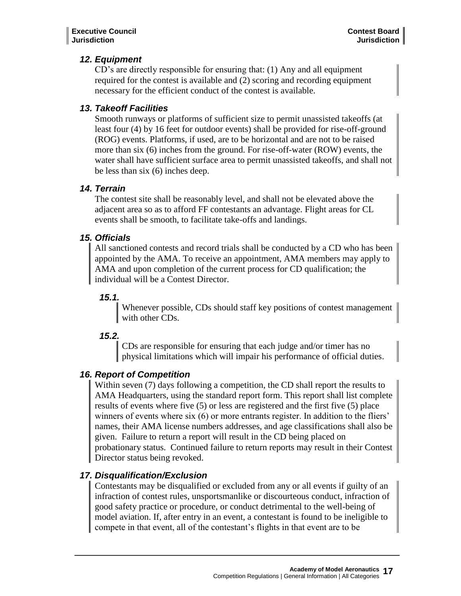# *12. Equipment*

CD's are directly responsible for ensuring that: (1) Any and all equipment required for the contest is available and (2) scoring and recording equipment necessary for the efficient conduct of the contest is available.

# *13. Takeoff Facilities*

Smooth runways or platforms of sufficient size to permit unassisted takeoffs (at least four (4) by 16 feet for outdoor events) shall be provided for rise-off-ground (ROG) events. Platforms, if used, are to be horizontal and are not to be raised more than six (6) inches from the ground. For rise-off-water (ROW) events, the water shall have sufficient surface area to permit unassisted takeoffs, and shall not be less than six (6) inches deep.

# *14. Terrain*

The contest site shall be reasonably level, and shall not be elevated above the adjacent area so as to afford FF contestants an advantage. Flight areas for CL events shall be smooth, to facilitate take-offs and landings.

# *15. Officials*

All sanctioned contests and record trials shall be conducted by a CD who has been appointed by the AMA. To receive an appointment, AMA members may apply to AMA and upon completion of the current process for CD qualification; the individual will be a Contest Director.

# *15.1.*

Whenever possible, CDs should staff key positions of contest management with other CDs.

# *15.2.*

CDs are responsible for ensuring that each judge and/or timer has no physical limitations which will impair his performance of official duties.

# *16. Report of Competition*

Within seven (7) days following a competition, the CD shall report the results to AMA Headquarters, using the standard report form. This report shall list complete results of events where five (5) or less are registered and the first five (5) place winners of events where six (6) or more entrants register. In addition to the fliers' names, their AMA license numbers addresses, and age classifications shall also be given. Failure to return a report will result in the CD being placed on probationary status. Continued failure to return reports may result in their Contest Director status being revoked.

# *17. Disqualification/Exclusion*

Contestants may be disqualified or excluded from any or all events if guilty of an infraction of contest rules, unsportsmanlike or discourteous conduct, infraction of good safety practice or procedure, or conduct detrimental to the well-being of model aviation. If, after entry in an event, a contestant is found to be ineligible to compete in that event, all of the contestant's flights in that event are to be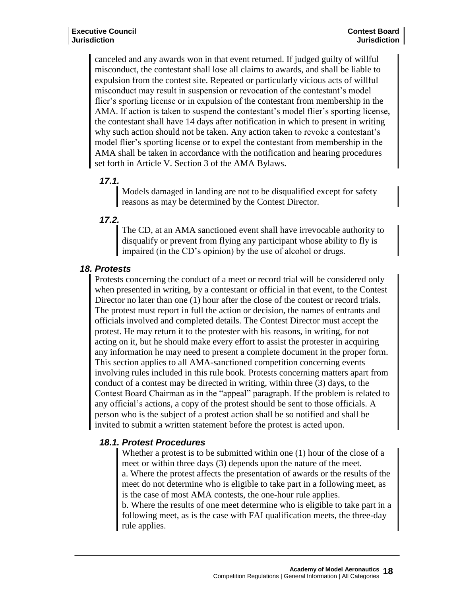canceled and any awards won in that event returned. If judged guilty of willful misconduct, the contestant shall lose all claims to awards, and shall be liable to expulsion from the contest site. Repeated or particularly vicious acts of willful misconduct may result in suspension or revocation of the contestant's model flier's sporting license or in expulsion of the contestant from membership in the AMA. If action is taken to suspend the contestant's model flier's sporting license, the contestant shall have 14 days after notification in which to present in writing why such action should not be taken. Any action taken to revoke a contestant's model flier's sporting license or to expel the contestant from membership in the AMA shall be taken in accordance with the notification and hearing procedures set forth in Article V. Section 3 of the AMA Bylaws.

#### *17.1.*

Models damaged in landing are not to be disqualified except for safety reasons as may be determined by the Contest Director.

#### *17.2.*

The CD, at an AMA sanctioned event shall have irrevocable authority to disqualify or prevent from flying any participant whose ability to fly is impaired (in the CD's opinion) by the use of alcohol or drugs.

# *18. Protests*

Protests concerning the conduct of a meet or record trial will be considered only when presented in writing, by a contestant or official in that event, to the Contest Director no later than one (1) hour after the close of the contest or record trials. The protest must report in full the action or decision, the names of entrants and officials involved and completed details. The Contest Director must accept the protest. He may return it to the protester with his reasons, in writing, for not acting on it, but he should make every effort to assist the protester in acquiring any information he may need to present a complete document in the proper form. This section applies to all AMA-sanctioned competition concerning events involving rules included in this rule book. Protests concerning matters apart from conduct of a contest may be directed in writing, within three (3) days, to the Contest Board Chairman as in the "appeal" paragraph. If the problem is related to any official's actions, a copy of the protest should be sent to those officials. A person who is the subject of a protest action shall be so notified and shall be invited to submit a written statement before the protest is acted upon.

# *18.1. Protest Procedures*

Whether a protest is to be submitted within one (1) hour of the close of a meet or within three days (3) depends upon the nature of the meet. a. Where the protest affects the presentation of awards or the results of the meet do not determine who is eligible to take part in a following meet, as is the case of most AMA contests, the one-hour rule applies. b. Where the results of one meet determine who is eligible to take part in a following meet, as is the case with FAI qualification meets, the three-day rule applies.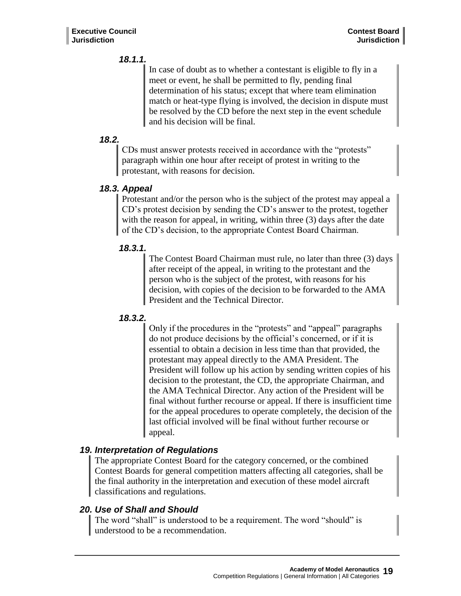# *18.1.1.*

In case of doubt as to whether a contestant is eligible to fly in a meet or event, he shall be permitted to fly, pending final determination of his status; except that where team elimination match or heat-type flying is involved, the decision in dispute must be resolved by the CD before the next step in the event schedule and his decision will be final.

# *18.2.*

CDs must answer protests received in accordance with the "protests" paragraph within one hour after receipt of protest in writing to the protestant, with reasons for decision.

# *18.3. Appeal*

Protestant and/or the person who is the subject of the protest may appeal a CD's protest decision by sending the CD's answer to the protest, together with the reason for appeal, in writing, within three (3) days after the date of the CD's decision, to the appropriate Contest Board Chairman.

# *18.3.1.*

The Contest Board Chairman must rule, no later than three (3) days after receipt of the appeal, in writing to the protestant and the person who is the subject of the protest, with reasons for his decision, with copies of the decision to be forwarded to the AMA President and the Technical Director.

# *18.3.2.*

Only if the procedures in the "protests" and "appeal" paragraphs do not produce decisions by the official's concerned, or if it is essential to obtain a decision in less time than that provided, the protestant may appeal directly to the AMA President. The President will follow up his action by sending written copies of his decision to the protestant, the CD, the appropriate Chairman, and the AMA Technical Director. Any action of the President will be final without further recourse or appeal. If there is insufficient time for the appeal procedures to operate completely, the decision of the last official involved will be final without further recourse or appeal.

# *19. Interpretation of Regulations*

The appropriate Contest Board for the category concerned, or the combined Contest Boards for general competition matters affecting all categories, shall be the final authority in the interpretation and execution of these model aircraft classifications and regulations.

# *20. Use of Shall and Should*

The word "shall" is understood to be a requirement. The word "should" is understood to be a recommendation.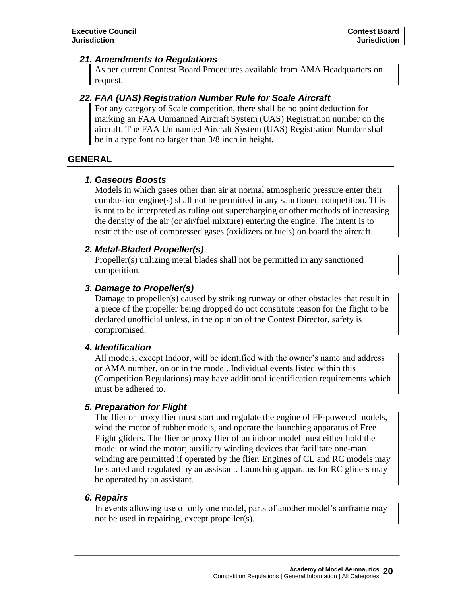#### *21. Amendments to Regulations*

As per current Contest Board Procedures available from AMA Headquarters on request.

# *22. FAA (UAS) Registration Number Rule for Scale Aircraft*

For any category of Scale competition, there shall be no point deduction for marking an FAA Unmanned Aircraft System (UAS) Registration number on the aircraft. The FAA Unmanned Aircraft System (UAS) Registration Number shall be in a type font no larger than 3/8 inch in height.

#### **GENERAL**

#### *1. Gaseous Boosts*

Models in which gases other than air at normal atmospheric pressure enter their combustion engine(s) shall not be permitted in any sanctioned competition. This is not to be interpreted as ruling out supercharging or other methods of increasing the density of the air (or air/fuel mixture) entering the engine. The intent is to restrict the use of compressed gases (oxidizers or fuels) on board the aircraft.

#### *2. Metal-Bladed Propeller(s)*

Propeller(s) utilizing metal blades shall not be permitted in any sanctioned competition.

# *3. Damage to Propeller(s)*

Damage to propeller(s) caused by striking runway or other obstacles that result in a piece of the propeller being dropped do not constitute reason for the flight to be declared unofficial unless, in the opinion of the Contest Director, safety is compromised.

# *4. Identification*

All models, except Indoor, will be identified with the owner's name and address or AMA number, on or in the model. Individual events listed within this (Competition Regulations) may have additional identification requirements which must be adhered to.

# *5. Preparation for Flight*

The flier or proxy flier must start and regulate the engine of FF-powered models, wind the motor of rubber models, and operate the launching apparatus of Free Flight gliders. The flier or proxy flier of an indoor model must either hold the model or wind the motor; auxiliary winding devices that facilitate one-man winding are permitted if operated by the flier. Engines of CL and RC models may be started and regulated by an assistant. Launching apparatus for RC gliders may be operated by an assistant.

#### *6. Repairs*

In events allowing use of only one model, parts of another model's airframe may not be used in repairing, except propeller(s).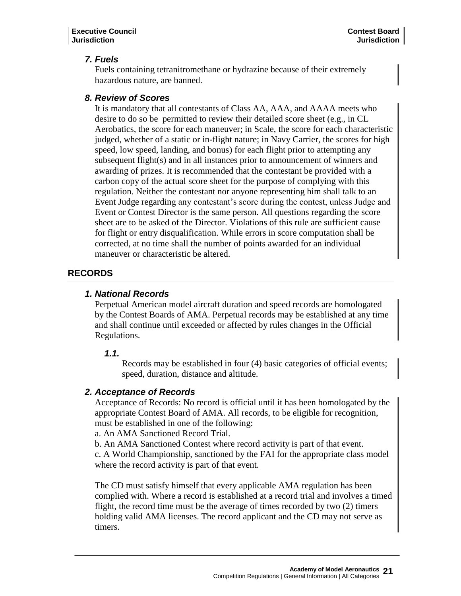# *7. Fuels*

Fuels containing tetranitromethane or hydrazine because of their extremely hazardous nature, are banned.

# *8. Review of Scores*

It is mandatory that all contestants of Class AA, AAA, and AAAA meets who desire to do so be permitted to review their detailed score sheet (e.g., in CL Aerobatics, the score for each maneuver; in Scale, the score for each characteristic judged, whether of a static or in-flight nature; in Navy Carrier, the scores for high speed, low speed, landing, and bonus) for each flight prior to attempting any subsequent flight(s) and in all instances prior to announcement of winners and awarding of prizes. It is recommended that the contestant be provided with a carbon copy of the actual score sheet for the purpose of complying with this regulation. Neither the contestant nor anyone representing him shall talk to an Event Judge regarding any contestant's score during the contest, unless Judge and Event or Contest Director is the same person. All questions regarding the score sheet are to be asked of the Director. Violations of this rule are sufficient cause for flight or entry disqualification. While errors in score computation shall be corrected, at no time shall the number of points awarded for an individual maneuver or characteristic be altered.

# **RECORDS**

#### *1. National Records*

Perpetual American model aircraft duration and speed records are homologated by the Contest Boards of AMA. Perpetual records may be established at any time and shall continue until exceeded or affected by rules changes in the Official Regulations.

#### *1.1.*

Records may be established in four (4) basic categories of official events; speed, duration, distance and altitude.

#### *2. Acceptance of Records*

Acceptance of Records: No record is official until it has been homologated by the appropriate Contest Board of AMA. All records, to be eligible for recognition, must be established in one of the following:

a. An AMA Sanctioned Record Trial.

b. An AMA Sanctioned Contest where record activity is part of that event.

c. A World Championship, sanctioned by the FAI for the appropriate class model where the record activity is part of that event.

The CD must satisfy himself that every applicable AMA regulation has been complied with. Where a record is established at a record trial and involves a timed flight, the record time must be the average of times recorded by two (2) timers holding valid AMA licenses. The record applicant and the CD may not serve as timers.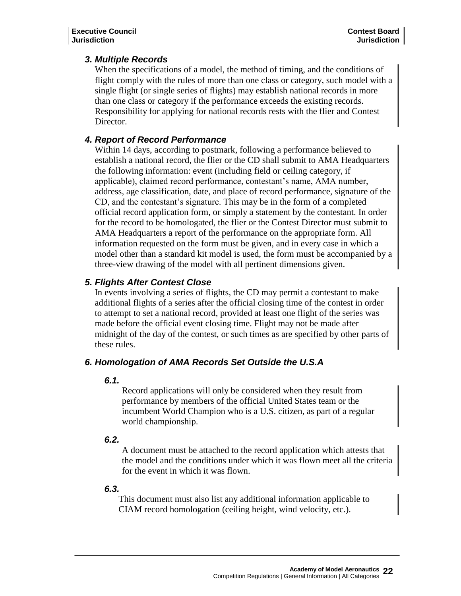# *3. Multiple Records*

When the specifications of a model, the method of timing, and the conditions of flight comply with the rules of more than one class or category, such model with a single flight (or single series of flights) may establish national records in more than one class or category if the performance exceeds the existing records. Responsibility for applying for national records rests with the flier and Contest Director.

### *4. Report of Record Performance*

Within 14 days, according to postmark, following a performance believed to establish a national record, the flier or the CD shall submit to AMA Headquarters the following information: event (including field or ceiling category, if applicable), claimed record performance, contestant's name, AMA number, address, age classification, date, and place of record performance, signature of the CD, and the contestant's signature. This may be in the form of a completed official record application form, or simply a statement by the contestant. In order for the record to be homologated, the flier or the Contest Director must submit to AMA Headquarters a report of the performance on the appropriate form. All information requested on the form must be given, and in every case in which a model other than a standard kit model is used, the form must be accompanied by a three-view drawing of the model with all pertinent dimensions given.

# *5. Flights After Contest Close*

In events involving a series of flights, the CD may permit a contestant to make additional flights of a series after the official closing time of the contest in order to attempt to set a national record, provided at least one flight of the series was made before the official event closing time. Flight may not be made after midnight of the day of the contest, or such times as are specified by other parts of these rules.

# *6. Homologation of AMA Records Set Outside the U.S.A*

#### *6.1.*

Record applications will only be considered when they result from performance by members of the official United States team or the incumbent World Champion who is a U.S. citizen, as part of a regular world championship.

#### *6.2.*

A document must be attached to the record application which attests that the model and the conditions under which it was flown meet all the criteria for the event in which it was flown.

#### *6.3.*

This document must also list any additional information applicable to CIAM record homologation (ceiling height, wind velocity, etc.).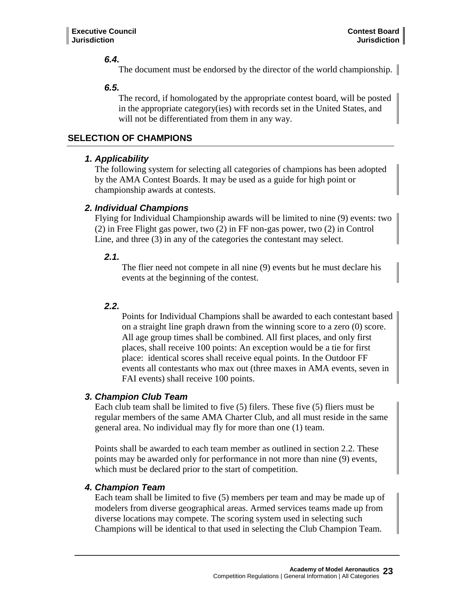#### *6.4.*

The document must be endorsed by the director of the world championship.  $\parallel$ 

#### *6.5.*

The record, if homologated by the appropriate contest board, will be posted in the appropriate category(ies) with records set in the United States, and will not be differentiated from them in any way.

### **SELECTION OF CHAMPIONS**

#### *1. Applicability*

The following system for selecting all categories of champions has been adopted by the AMA Contest Boards. It may be used as a guide for high point or championship awards at contests.

#### *2. Individual Champions*

Flying for Individual Championship awards will be limited to nine (9) events: two (2) in Free Flight gas power, two (2) in FF non-gas power, two (2) in Control Line, and three (3) in any of the categories the contestant may select.

#### *2.1.*

The flier need not compete in all nine (9) events but he must declare his events at the beginning of the contest.

#### *2.2.*

Points for Individual Champions shall be awarded to each contestant based on a straight line graph drawn from the winning score to a zero (0) score. All age group times shall be combined. All first places, and only first places, shall receive 100 points: An exception would be a tie for first place: identical scores shall receive equal points. In the Outdoor FF events all contestants who max out (three maxes in AMA events, seven in FAI events) shall receive 100 points.

# *3. Champion Club Team*

Each club team shall be limited to five (5) filers. These five (5) fliers must be regular members of the same AMA Charter Club, and all must reside in the same general area. No individual may fly for more than one (1) team.

Points shall be awarded to each team member as outlined in section 2.2. These points may be awarded only for performance in not more than nine (9) events, which must be declared prior to the start of competition.

#### *4. Champion Team*

Each team shall be limited to five (5) members per team and may be made up of modelers from diverse geographical areas. Armed services teams made up from diverse locations may compete. The scoring system used in selecting such Champions will be identical to that used in selecting the Club Champion Team.